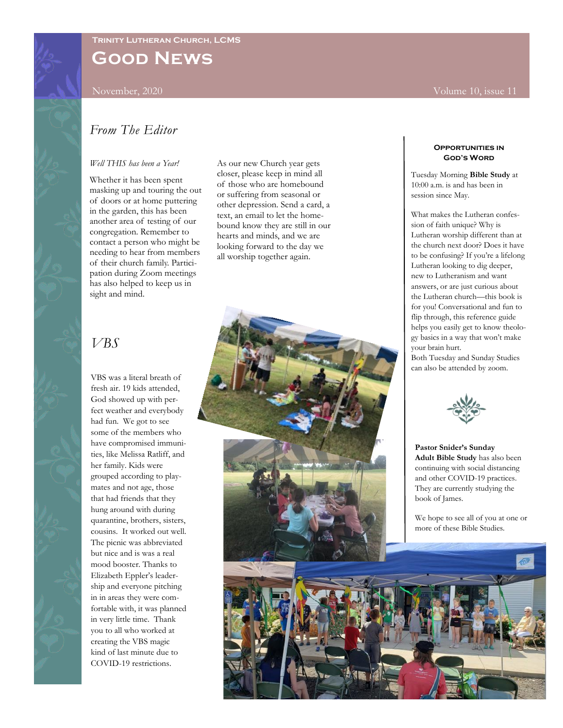**Good News**

November, 2020 Volume 10, issue 11

# *From The Editor*

#### *Well THIS has been a Year!*

Whether it has been spent masking up and touring the out of doors or at home puttering in the garden, this has been another area of testing of our congregation. Remember to contact a person who might be needing to hear from members of their church family. Participation during Zoom meetings has also helped to keep us in sight and mind.

As our new Church year gets closer, please keep in mind all of those who are homebound or suffering from seasonal or other depression. Send a card, a text, an email to let the homebound know they are still in our hearts and minds, and we are looking forward to the day we all worship together again.

# *VBS*

VBS was a literal breath of fresh air. 19 kids attended, God showed up with perfect weather and everybody had fun. We got to see some of the members who have compromised immunities, like Melissa Ratliff, and her family. Kids were grouped according to playmates and not age, those that had friends that they hung around with during quarantine, brothers, sisters, cousins. It worked out well. The picnic was abbreviated but nice and is was a real mood booster. Thanks to Elizabeth Eppler's leadership and everyone pitching in in areas they were comfortable with, it was planned in very little time. Thank you to all who worked at creating the VBS magic kind of last minute due to COVID-19 restrictions.

#### **Opportunities in God's Word**

Tuesday Morning **Bible Study** at 10:00 a.m. is and has been in session since May.

What makes the Lutheran confession of faith unique? Why is Lutheran worship different than at the church next door? Does it have to be confusing? If you're a lifelong Lutheran looking to dig deeper, new to Lutheranism and want answers, or are just curious about the Lutheran church—this book is for you! Conversational and fun to flip through, this reference guide helps you easily get to know theology basics in a way that won't make your brain hurt.

Both Tuesday and Sunday Studies can also be attended by zoom.



**Pastor Snider's Sunday Adult Bible Study** has also been continuing with social distancing and other COVID-19 practices. They are currently studying the book of James.

We hope to see all of you at one or more of these Bible Studies.

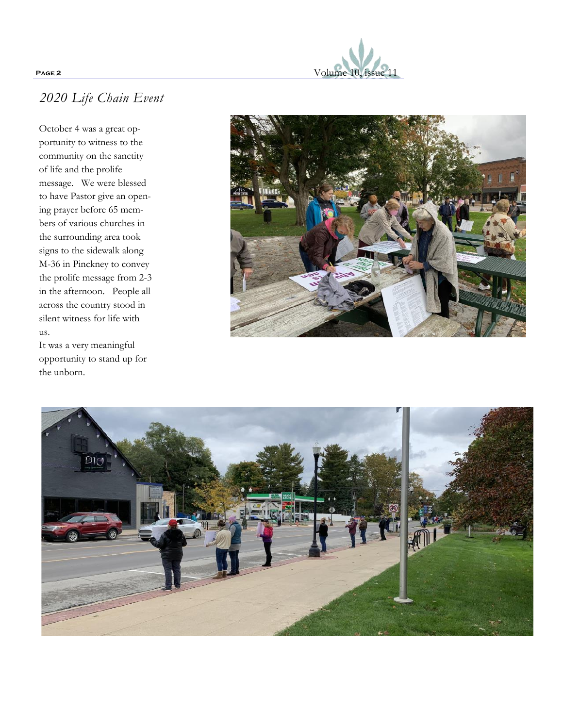

# *2020 Life Chain Event*

October 4 was a great opportunity to witness to the community on the sanctity of life and the prolife message. We were blessed to have Pastor give an opening prayer before 65 members of various churches in the surrounding area took signs to the sidewalk along M-36 in Pinckney to convey the prolife message from 2 -3 in the afternoon. People all across the country stood in silent witness for life with us.

It was a very meaningful opportunity to stand up for the unborn.



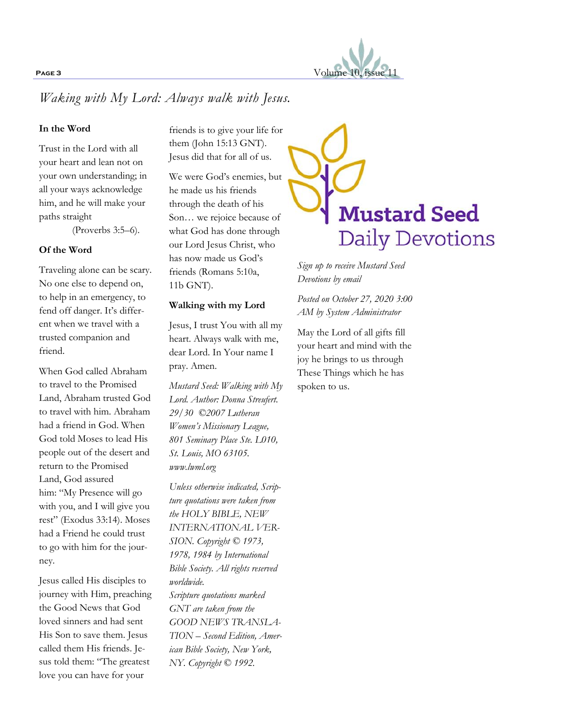

# *Waking with My Lord: Always walk with Jesus.*

### **In the Word**

Trust in the Lord with all your heart and lean not on your own understanding; in all your ways acknowledge him, and he will make your paths straight

(Proverbs 3:5–6).

#### **Of the Word**

Traveling alone can be scary. No one else to depend on, to help in an emergency, to fend off danger. It's different when we travel with a trusted companion and friend.

When God called Abraham to travel to the Promised Land, Abraham trusted God to travel with him. Abraham had a friend in God. When God told Moses to lead His people out of the desert and return to the Promised Land, God assured him: "My Presence will go with you, and I will give you rest" (Exodus 33:14). Moses had a Friend he could trust to go with him for the journey.

Jesus called His disciples to journey with Him, preaching the Good News that God loved sinners and had sent His Son to save them. Jesus called them His friends. Jesus told them: "The greatest love you can have for your

friends is to give your life for them (John 15:13 GNT). Jesus did that for all of us.

We were God's enemies, but he made us his friends through the death of his Son… we rejoice because of what God has done through our Lord Jesus Christ, who has now made us God's friends (Romans 5:10a, 11b GNT).

#### **Walking with my Lord**

Jesus, I trust You with all my heart. Always walk with me, dear Lord. In Your name I pray. Amen.

*Mustard Seed: Walking with My Lord. Author: Donna Streufert. 29/30 ©2007 Lutheran Women's Missionary League, 801 Seminary Place Ste. L010, St. Louis, MO 63105. www.lwml.org*

*Unless otherwise indicated, Scripture quotations were taken from the HOLY BIBLE, NEW INTERNATIONAL VER-SION. Copyright © 1973, 1978, 1984 by International Bible Society. All rights reserved worldwide. Scripture quotations marked* 

*GNT are taken from the GOOD NEWS TRANSLA-TION – Second Edition, American Bible Society, New York, NY. Copyright © 1992.*



*Sign up to receive Mustard Seed Devotions by email*

*Posted on October 27, 2020 3:00 AM by System Administrator*

May the Lord of all gifts fill your heart and mind with the joy he brings to us through These Things which he has spoken to us.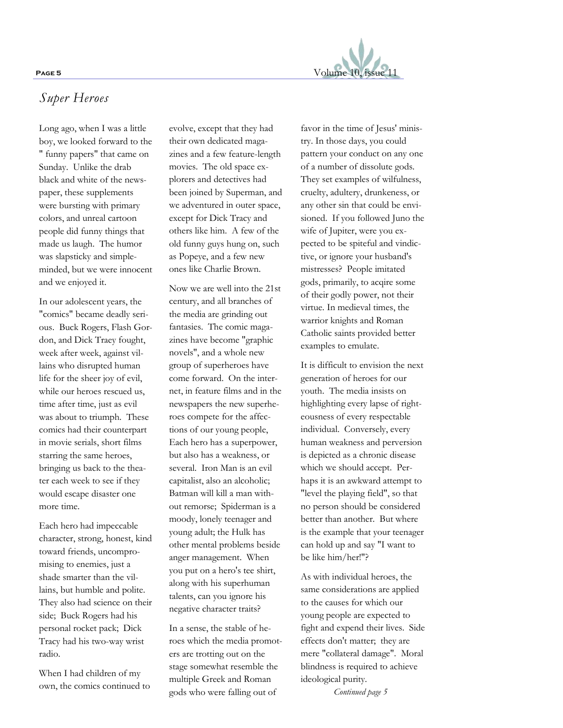

## *Super Heroes*

Long ago, when I was a little boy, we looked forward to the " funny papers" that came on Sunday. Unlike the drab black and white of the newspaper, these supplements were bursting with primary colors, and unreal cartoon people did funny things that made us laugh. The humor was slapsticky and simpleminded, but we were innocent and we enjoyed it.

In our adolescent years, the "comics" became deadly serious. Buck Rogers, Flash Gordon, and Dick Traey fought, week after week, against villains who disrupted human life for the sheer joy of evil, while our heroes rescued us, time after time, just as evil was about to triumph. These comics had their counterpart in movie serials, short films starring the same heroes, bringing us back to the theater each week to see if they would escape disaster one more time.

Each hero had impeccable character, strong, honest, kind toward friends, uncompromising to enemies, just a shade smarter than the villains, but humble and polite. They also had science on their side; Buck Rogers had his personal rocket pack; Dick Tracy had his two-way wrist radio.

When I had children of my own, the comics continued to evolve, except that they had their own dedicated magazines and a few feature-length movies. The old space explorers and detectives had been joined by Superman, and we adventured in outer space, except for Dick Tracy and others like him. A few of the old funny guys hung on, such as Popeye, and a few new ones like Charlie Brown.

Now we are well into the 21st century, and all branches of the media are grinding out fantasies. The comic magazines have become "graphic novels", and a whole new group of superheroes have come forward. On the internet, in feature films and in the newspapers the new superheroes compete for the affections of our young people, Each hero has a superpower, but also has a weakness, or several. Iron Man is an evil capitalist, also an alcoholic; Batman will kill a man without remorse; Spiderman is a moody, lonely teenager and young adult; the Hulk has other mental problems beside anger management. When you put on a hero's tee shirt, along with his superhuman talents, can you ignore his negative character traits?

In a sense, the stable of heroes which the media promoters are trotting out on the stage somewhat resemble the multiple Greek and Roman gods who were falling out of

favor in the time of Jesus' ministry. In those days, you could pattern your conduct on any one of a number of dissolute gods. They set examples of wilfulness, cruelty, adultery, drunkeness, or any other sin that could be envisioned. If you followed Juno the wife of Jupiter, were you expected to be spiteful and vindictive, or ignore your husband's mistresses? People imitated gods, primarily, to acqire some of their godly power, not their virtue. In medieval times, the warrior knights and Roman Catholic saints provided better examples to emulate.

It is difficult to envision the next generation of heroes for our youth. The media insists on highlighting every lapse of righteousness of every respectable individual. Conversely, every human weakness and perversion is depicted as a chronic disease which we should accept. Perhaps it is an awkward attempt to "level the playing field", so that no person should be considered better than another. But where is the example that your teenager can hold up and say "I want to be like him/her!"?

As with individual heroes, the same considerations are applied to the causes for which our young people are expected to fight and expend their lives. Side effects don't matter; they are mere "collateral damage". Moral blindness is required to achieve ideological purity.

*Continued page 5*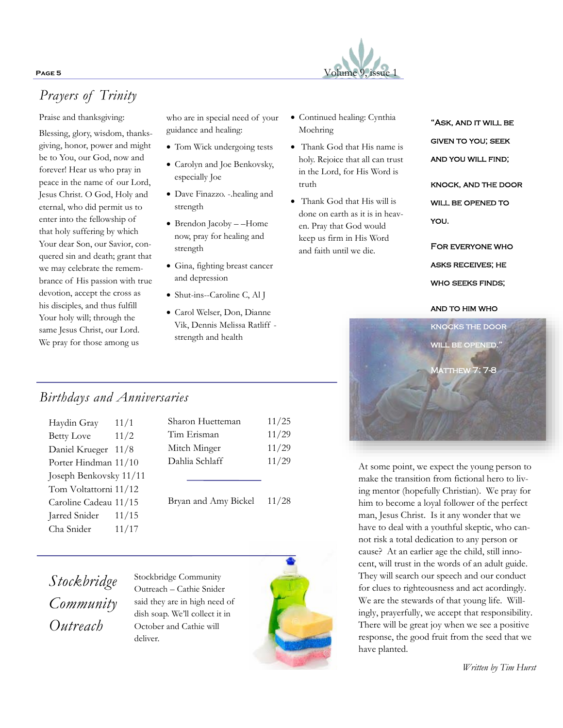# **PAGE 5** Volume 9, issue 1

# *Prayers of Trinity*

Praise and thanksgiving:

Blessing, glory, wisdom, thanksgiving, honor, power and might be to You, our God, now and forever! Hear us who pray in peace in the name of our Lord, Jesus Christ. O God, Holy and eternal, who did permit us to enter into the fellowship of that holy suffering by which Your dear Son, our Savior, conquered sin and death; grant that we may celebrate the remembrance of His passion with true devotion, accept the cross as his disciples, and thus fulfill Your holy will; through the same Jesus Christ, our Lord. We pray for those among us

who are in special need of your guidance and healing:

- Tom Wick undergoing tests
- Carolyn and Joe Benkovsky, especially Joe
- Dave Finazzo. -.healing and strength
- Brendon Jacoby –Home now, pray for healing and strength
- Gina, fighting breast cancer and depression
- Shut-ins--Caroline C, Al J
- Carol Welser, Don, Dianne Vik, Dennis Melissa Ratliff strength and health
- Continued healing: Cynthia Moehring
- Thank God that His name is holy. Rejoice that all can trust in the Lord, for His Word is truth
- Thank God that His will is done on earth as it is in heaven. Pray that God would keep us firm in His Word and faith until we die.

"ASK, AND IT WILL BE given to you; seek and you will find;

knock, and the door WILL BE OPENED TO you.

For everyone who asks receives; he who seeks finds;



At some point, we expect the young person to make the transition from fictional hero to living mentor (hopefully Christian). We pray for him to become a loyal follower of the perfect man, Jesus Christ. Is it any wonder that we have to deal with a youthful skeptic, who cannot risk a total dedication to any person or cause? At an earlier age the child, still innocent, will trust in the words of an adult guide. They will search our speech and our conduct for clues to righteousness and act acordingly. We are the stewards of that young life. Willingly, prayerfully, we accept that responsibility. There will be great joy when we see a positive response, the good fruit from the seed that we have planted.

*Written by Tim Hurst*

# *Birthdays and Anniversaries*

| Haydin Gray            | 11/1  |
|------------------------|-------|
| <b>Betty Love</b>      | 11/2  |
| Daniel Krueger 11/8    |       |
| Porter Hindman 11/10   |       |
| Joseph Benkovsky 11/11 |       |
| Tom Voltattorni 11/12  |       |
| Caroline Cadeau 11/15  |       |
| Jarred Snider          | 11/15 |
| Cha Snider             | 11/17 |
|                        |       |

| Sharon Huetteman<br>Tim Erisman | 11/25          |
|---------------------------------|----------------|
| Mitch Minger                    | 11/29<br>11/29 |
| Dahlia Schlaff                  | 11/29          |
| Bryan and Amy Bickel            | 11/28          |

*Stockbridge Community Outreach*

Stockbridge Community Outreach – Cathie Snider said they are in high need of dish soap. We'll collect it in October and Cathie will deliver.